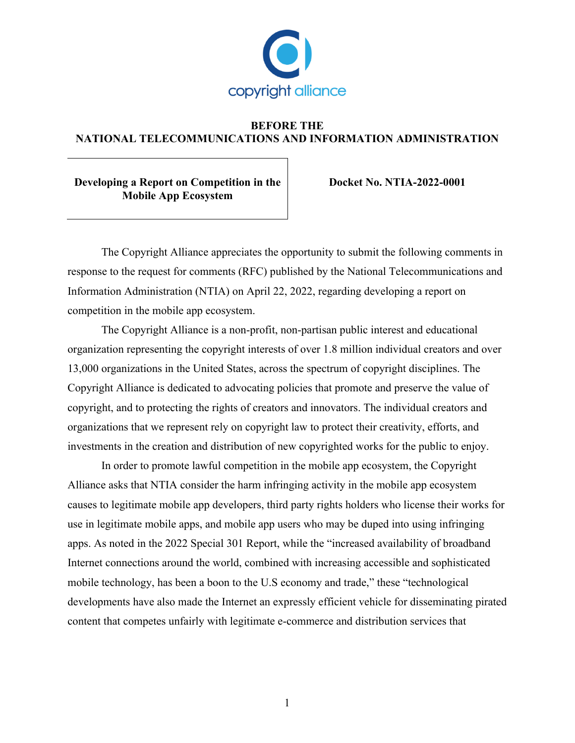

## **BEFORE THE NATIONAL TELECOMMUNICATIONS AND INFORMATION ADMINISTRATION**

**Developing a Report on Competition in the Mobile App Ecosystem**

**Docket No. NTIA-2022-0001**

The Copyright Alliance appreciates the opportunity to submit the following comments in response to the request for comments (RFC) published by the National Telecommunications and Information Administration (NTIA) on April 22, 2022, regarding developing a report on competition in the mobile app ecosystem.

The Copyright Alliance is a non-profit, non-partisan public interest and educational organization representing the copyright interests of over 1.8 million individual creators and over 13,000 organizations in the United States, across the spectrum of copyright disciplines. The Copyright Alliance is dedicated to advocating policies that promote and preserve the value of copyright, and to protecting the rights of creators and innovators. The individual creators and organizations that we represent rely on copyright law to protect their creativity, efforts, and investments in the creation and distribution of new copyrighted works for the public to enjoy.

In order to promote lawful competition in the mobile app ecosystem, the Copyright Alliance asks that NTIA consider the harm infringing activity in the mobile app ecosystem causes to legitimate mobile app developers, third party rights holders who license their works for use in legitimate mobile apps, and mobile app users who may be duped into using infringing apps. As noted in the 2022 Special 301 Report, while the "increased availability of broadband Internet connections around the world, combined with increasing accessible and sophisticated mobile technology, has been a boon to the U.S economy and trade," these "technological developments have also made the Internet an expressly efficient vehicle for disseminating pirated content that competes unfairly with legitimate e-commerce and distribution services that

1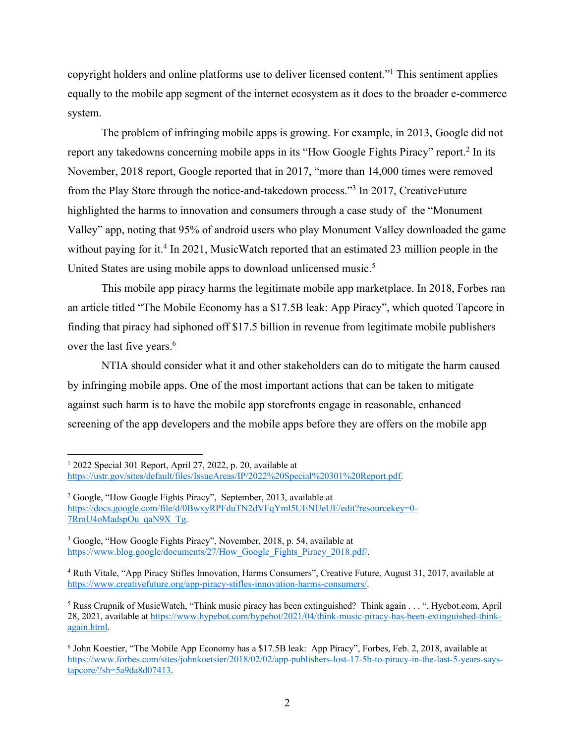copyright holders and online platforms use to deliver licensed content."1 This sentiment applies equally to the mobile app segment of the internet ecosystem as it does to the broader e-commerce system.

The problem of infringing mobile apps is growing. For example, in 2013, Google did not report any takedowns concerning mobile apps in its "How Google Fights Piracy" report.2 In its November, 2018 report, Google reported that in 2017, "more than 14,000 times were removed from the Play Store through the notice-and-takedown process."3 In 2017, CreativeFuture highlighted the harms to innovation and consumers through a case study of the "Monument Valley" app, noting that 95% of android users who play Monument Valley downloaded the game without paying for it.<sup>4</sup> In 2021, MusicWatch reported that an estimated 23 million people in the United States are using mobile apps to download unlicensed music.<sup>5</sup>

This mobile app piracy harms the legitimate mobile app marketplace. In 2018, Forbes ran an article titled "The Mobile Economy has a \$17.5B leak: App Piracy", which quoted Tapcore in finding that piracy had siphoned off \$17.5 billion in revenue from legitimate mobile publishers over the last five years.<sup>6</sup>

NTIA should consider what it and other stakeholders can do to mitigate the harm caused by infringing mobile apps. One of the most important actions that can be taken to mitigate against such harm is to have the mobile app storefronts engage in reasonable, enhanced screening of the app developers and the mobile apps before they are offers on the mobile app

 $12022$  Special 301 Report, April 27, 2022, p. 20, available at https://ustr.gov/sites/default/files/IssueAreas/IP/2022%20Special%20301%20Report.pdf.

<sup>2</sup> Google, "How Google Fights Piracy", September, 2013, available at https://docs.google.com/file/d/0BwxyRPFduTN2dVFqYml5UENUeUE/edit?resourcekey=0- 7RmU4oMadspOu\_qaN9X\_Tg.

<sup>3</sup> Google, "How Google Fights Piracy", November, 2018, p. 54, available at https://www.blog.google/documents/27/How\_Google\_Fights\_Piracy\_2018.pdf/.

<sup>4</sup> Ruth Vitale, "App Piracy Stifles Innovation, Harms Consumers", Creative Future, August 31, 2017, available at https://www.creativefuture.org/app-piracy-stifles-innovation-harms-consumers/.

<sup>&</sup>lt;sup>5</sup> Russ Crupnik of MusicWatch, "Think music piracy has been extinguished? Think again . . . ", Hyebot.com, April 28, 2021, available at https://www.hypebot.com/hypebot/2021/04/think-music-piracy-has-been-extinguished-thinkagain.html.

<sup>6</sup> John Koestier, "The Mobile App Economy has a \$17.5B leak: App Piracy", Forbes, Feb. 2, 2018, available at https://www.forbes.com/sites/johnkoetsier/2018/02/02/app-publishers-lost-17-5b-to-piracy-in-the-last-5-years-saystapcore/?sh=5a9da8d07413.